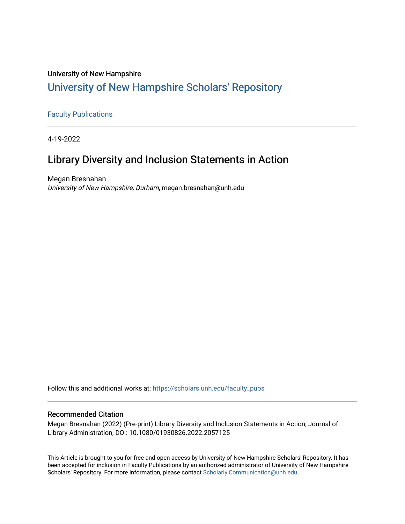# University of New Hampshire [University of New Hampshire Scholars' Repository](https://scholars.unh.edu/)

## [Faculty Publications](https://scholars.unh.edu/faculty_pubs)

4-19-2022

# Library Diversity and Inclusion Statements in Action

Megan Bresnahan University of New Hampshire, Durham, megan.bresnahan@unh.edu

Follow this and additional works at: [https://scholars.unh.edu/faculty\\_pubs](https://scholars.unh.edu/faculty_pubs?utm_source=scholars.unh.edu%2Ffaculty_pubs%2F1448&utm_medium=PDF&utm_campaign=PDFCoverPages) 

#### Recommended Citation

Megan Bresnahan (2022) (Pre-print) Library Diversity and Inclusion Statements in Action, Journal of Library Administration, DOI: 10.1080/01930826.2022.2057125

This Article is brought to you for free and open access by University of New Hampshire Scholars' Repository. It has been accepted for inclusion in Faculty Publications by an authorized administrator of University of New Hampshire Scholars' Repository. For more information, please contact [Scholarly.Communication@unh.edu.](mailto:Scholarly.Communication@unh.edu)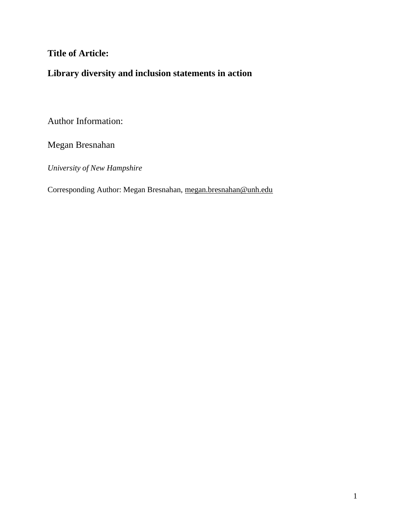## **Title of Article:**

# **Library diversity and inclusion statements in action**

Author Information:

Megan Bresnahan

*University of New Hampshire* 

Corresponding Author: Megan Bresnahan, [megan.bresnahan@unh.edu](mailto:megan.bresnahan@unh.edu)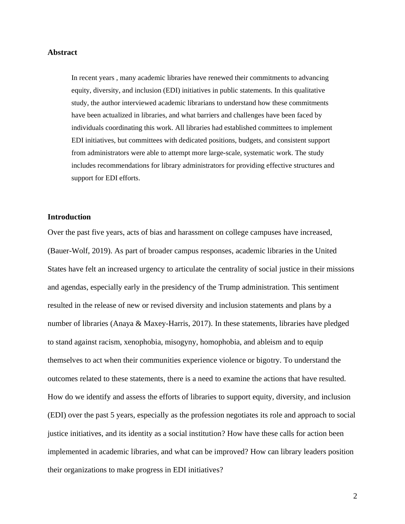#### **Abstract**

In recent years , many academic libraries have renewed their commitments to advancing equity, diversity, and inclusion (EDI) initiatives in public statements. In this qualitative study, the author interviewed academic librarians to understand how these commitments have been actualized in libraries, and what barriers and challenges have been faced by individuals coordinating this work. All libraries had established committees to implement EDI initiatives, but committees with dedicated positions, budgets, and consistent support from administrators were able to attempt more large-scale, systematic work. The study includes recommendations for library administrators for providing effective structures and support for EDI efforts.

### **Introduction**

Over the past five years, acts of bias and harassment on college campuses have increased, (Bauer-Wolf, 2019). As part of broader campus responses, academic libraries in the United States have felt an increased urgency to articulate the centrality of social justice in their missions and agendas, especially early in the presidency of the Trump administration. This sentiment resulted in the release of new or revised diversity and inclusion statements and plans by a number of libraries (Anaya & Maxey-Harris, 2017). In these statements, libraries have pledged to stand against racism, xenophobia, misogyny, homophobia, and ableism and to equip themselves to act when their communities experience violence or bigotry. To understand the outcomes related to these statements, there is a need to examine the actions that have resulted. How do we identify and assess the efforts of libraries to support equity, diversity, and inclusion (EDI) over the past 5 years, especially as the profession negotiates its role and approach to social justice initiatives, and its identity as a social institution? How have these calls for action been implemented in academic libraries, and what can be improved? How can library leaders position their organizations to make progress in EDI initiatives?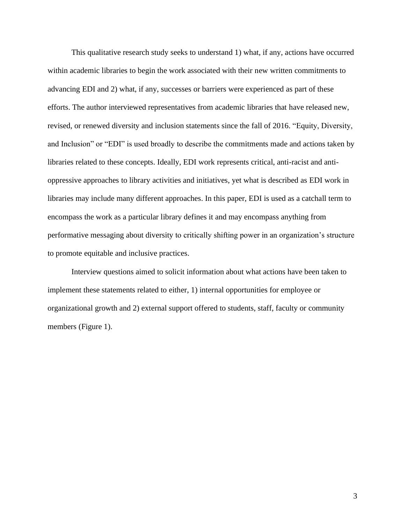This qualitative research study seeks to understand 1) what, if any, actions have occurred within academic libraries to begin the work associated with their new written commitments to advancing EDI and 2) what, if any, successes or barriers were experienced as part of these efforts. The author interviewed representatives from academic libraries that have released new, revised, or renewed diversity and inclusion statements since the fall of 2016. "Equity, Diversity, and Inclusion" or "EDI" is used broadly to describe the commitments made and actions taken by libraries related to these concepts. Ideally, EDI work represents critical, anti-racist and antioppressive approaches to library activities and initiatives, yet what is described as EDI work in libraries may include many different approaches. In this paper, EDI is used as a catchall term to encompass the work as a particular library defines it and may encompass anything from performative messaging about diversity to critically shifting power in an organization's structure to promote equitable and inclusive practices.

Interview questions aimed to solicit information about what actions have been taken to implement these statements related to either, 1) internal opportunities for employee or organizational growth and 2) external support offered to students, staff, faculty or community members (Figure 1).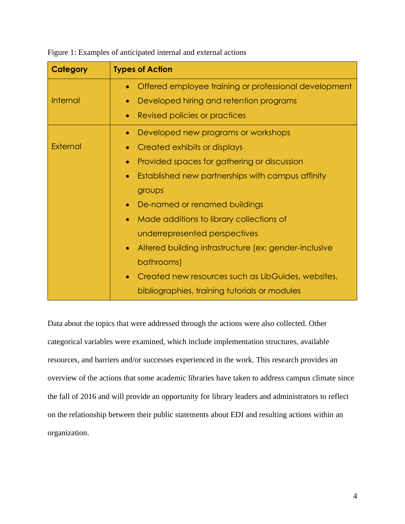| Category        | <b>Types of Action</b>                                             |
|-----------------|--------------------------------------------------------------------|
|                 | Offered employee training or professional development<br>$\bullet$ |
| <b>Internal</b> | Developed hiring and retention programs<br>$\bullet$               |
|                 | Revised policies or practices<br>$\bullet$                         |
|                 | Developed new programs or workshops<br>$\bullet$                   |
| <b>External</b> | Created exhibits or displays<br>$\bullet$                          |
|                 | Provided spaces for gathering or discussion<br>$\bullet$           |
|                 | Established new partnerships with campus affinity<br>$\bullet$     |
|                 | groups                                                             |
|                 | De-named or renamed buildings<br>$\bullet$                         |
|                 | Made additions to library collections of<br>$\bullet$              |
|                 | underrepresented perspectives                                      |
|                 | Altered building infrastructure (ex: gender-inclusive<br>$\bullet$ |
|                 | bathrooms)                                                         |
|                 | Created new resources such as LibGuides, websites,<br>$\bullet$    |
|                 | bibliographies, training tutorials or modules                      |

Figure 1: Examples of anticipated internal and external actions

Data about the topics that were addressed through the actions were also collected. Other categorical variables were examined, which include implementation structures, available resources, and barriers and/or successes experienced in the work. This research provides an overview of the actions that some academic libraries have taken to address campus climate since the fall of 2016 and will provide an opportunity for library leaders and administrators to reflect on the relationship between their public statements about EDI and resulting actions within an organization.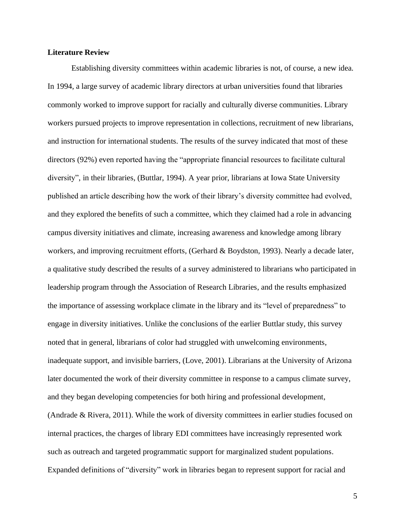### **Literature Review**

Establishing diversity committees within academic libraries is not, of course, a new idea. In 1994, a large survey of academic library directors at urban universities found that libraries commonly worked to improve support for racially and culturally diverse communities. Library workers pursued projects to improve representation in collections, recruitment of new librarians, and instruction for international students. The results of the survey indicated that most of these directors (92%) even reported having the "appropriate financial resources to facilitate cultural diversity", in their libraries, (Buttlar, 1994). A year prior, librarians at Iowa State University published an article describing how the work of their library's diversity committee had evolved, and they explored the benefits of such a committee, which they claimed had a role in advancing campus diversity initiatives and climate, increasing awareness and knowledge among library workers, and improving recruitment efforts, (Gerhard & Boydston, 1993). Nearly a decade later, a qualitative study described the results of a survey administered to librarians who participated in leadership program through the Association of Research Libraries, and the results emphasized the importance of assessing workplace climate in the library and its "level of preparedness" to engage in diversity initiatives. Unlike the conclusions of the earlier Buttlar study, this survey noted that in general, librarians of color had struggled with unwelcoming environments, inadequate support, and invisible barriers, (Love, 2001). Librarians at the University of Arizona later documented the work of their diversity committee in response to a campus climate survey, and they began developing competencies for both hiring and professional development, (Andrade & Rivera, 2011). While the work of diversity committees in earlier studies focused on internal practices, the charges of library EDI committees have increasingly represented work such as outreach and targeted programmatic support for marginalized student populations. Expanded definitions of "diversity" work in libraries began to represent support for racial and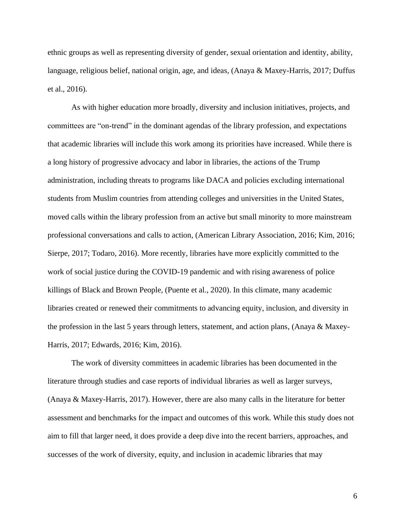ethnic groups as well as representing diversity of gender, sexual orientation and identity, ability, language, religious belief, national origin, age, and ideas, (Anaya & Maxey-Harris, 2017; Duffus et al., 2016).

As with higher education more broadly, diversity and inclusion initiatives, projects, and committees are "on-trend" in the dominant agendas of the library profession, and expectations that academic libraries will include this work among its priorities have increased. While there is a long history of progressive advocacy and labor in libraries, the actions of the Trump administration, including threats to programs like DACA and policies excluding international students from Muslim countries from attending colleges and universities in the United States, moved calls within the library profession from an active but small minority to more mainstream professional conversations and calls to action, (American Library Association, 2016; Kim, 2016; Sierpe, 2017; Todaro, 2016). More recently, libraries have more explicitly committed to the work of social justice during the COVID-19 pandemic and with rising awareness of police killings of Black and Brown People, (Puente et al., 2020). In this climate, many academic libraries created or renewed their commitments to advancing equity, inclusion, and diversity in the profession in the last 5 years through letters, statement, and action plans, (Anaya & Maxey-Harris, 2017; Edwards, 2016; Kim, 2016).

The work of diversity committees in academic libraries has been documented in the literature through studies and case reports of individual libraries as well as larger surveys, (Anaya & Maxey-Harris, 2017). However, there are also many calls in the literature for better assessment and benchmarks for the impact and outcomes of this work. While this study does not aim to fill that larger need, it does provide a deep dive into the recent barriers, approaches, and successes of the work of diversity, equity, and inclusion in academic libraries that may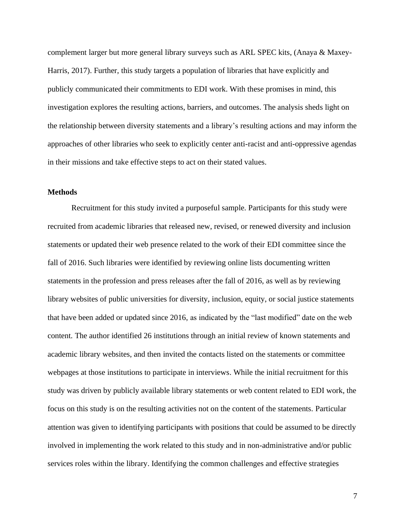complement larger but more general library surveys such as ARL SPEC kits, (Anaya & Maxey-Harris, 2017). Further, this study targets a population of libraries that have explicitly and publicly communicated their commitments to EDI work. With these promises in mind, this investigation explores the resulting actions, barriers, and outcomes. The analysis sheds light on the relationship between diversity statements and a library's resulting actions and may inform the approaches of other libraries who seek to explicitly center anti-racist and anti-oppressive agendas in their missions and take effective steps to act on their stated values.

#### **Methods**

Recruitment for this study invited a purposeful sample. Participants for this study were recruited from academic libraries that released new, revised, or renewed diversity and inclusion statements or updated their web presence related to the work of their EDI committee since the fall of 2016. Such libraries were identified by reviewing online lists documenting written statements in the profession and press releases after the fall of 2016, as well as by reviewing library websites of public universities for diversity, inclusion, equity, or social justice statements that have been added or updated since 2016, as indicated by the "last modified" date on the web content. The author identified 26 institutions through an initial review of known statements and academic library websites, and then invited the contacts listed on the statements or committee webpages at those institutions to participate in interviews. While the initial recruitment for this study was driven by publicly available library statements or web content related to EDI work, the focus on this study is on the resulting activities not on the content of the statements. Particular attention was given to identifying participants with positions that could be assumed to be directly involved in implementing the work related to this study and in non-administrative and/or public services roles within the library. Identifying the common challenges and effective strategies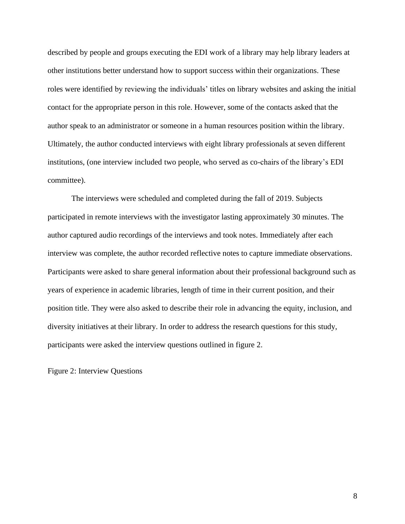described by people and groups executing the EDI work of a library may help library leaders at other institutions better understand how to support success within their organizations. These roles were identified by reviewing the individuals' titles on library websites and asking the initial contact for the appropriate person in this role. However, some of the contacts asked that the author speak to an administrator or someone in a human resources position within the library. Ultimately, the author conducted interviews with eight library professionals at seven different institutions, (one interview included two people, who served as co-chairs of the library's EDI committee).

The interviews were scheduled and completed during the fall of 2019. Subjects participated in remote interviews with the investigator lasting approximately 30 minutes. The author captured audio recordings of the interviews and took notes. Immediately after each interview was complete, the author recorded reflective notes to capture immediate observations. Participants were asked to share general information about their professional background such as years of experience in academic libraries, length of time in their current position, and their position title. They were also asked to describe their role in advancing the equity, inclusion, and diversity initiatives at their library. In order to address the research questions for this study, participants were asked the interview questions outlined in figure 2.

Figure 2: Interview Questions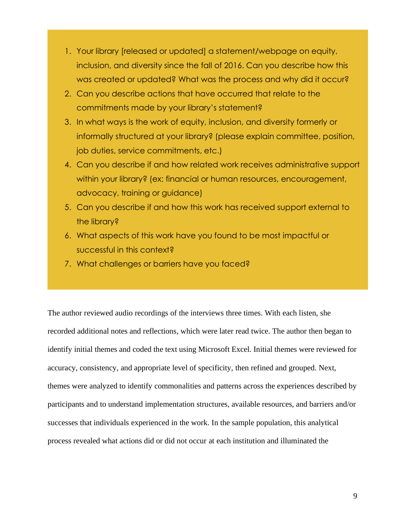- 1. Your library [released or updated] a statement/webpage on equity, inclusion, and diversity since the fall of 2016. Can you describe how this was created or updated? What was the process and why did it occur?
- 2. Can you describe actions that have occurred that relate to the commitments made by your library's statement?
- 3. In what ways is the work of equity, inclusion, and diversity formerly or informally structured at your library? (please explain committee, position, job duties, service commitments, etc.)
- 4. Can you describe if and how related work receives administrative support within your library? (ex: financial or human resources, encouragement, advocacy, training or guidance)
- 5. Can you describe if and how this work has received support external to the library?
- 6. What aspects of this work have you found to be most impactful or successful in this context?
- 7. What challenges or barriers have you faced?

The author reviewed audio recordings of the interviews three times. With each listen, she recorded additional notes and reflections, which were later read twice. The author then began to identify initial themes and coded the text using Microsoft Excel. Initial themes were reviewed for accuracy, consistency, and appropriate level of specificity, then refined and grouped. Next, themes were analyzed to identify commonalities and patterns across the experiences described by participants and to understand implementation structures, available resources, and barriers and/or successes that individuals experienced in the work. In the sample population, this analytical process revealed what actions did or did not occur at each institution and illuminated the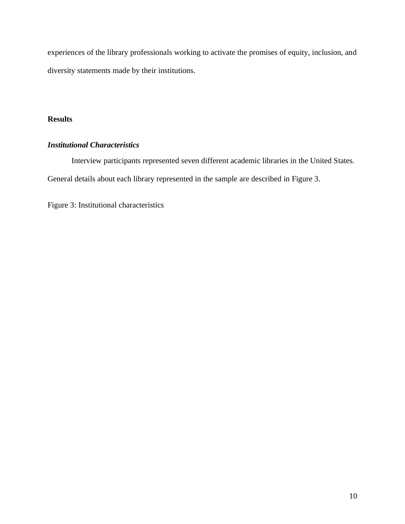experiences of the library professionals working to activate the promises of equity, inclusion, and diversity statements made by their institutions.

## **Results**

## *Institutional Characteristics*

Interview participants represented seven different academic libraries in the United States. General details about each library represented in the sample are described in Figure 3.

Figure 3: Institutional characteristics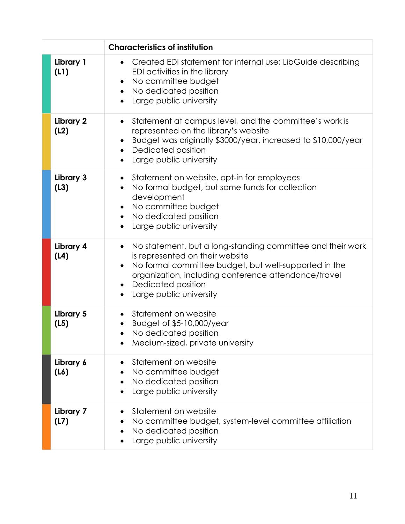|                   | <b>Characteristics of institution</b>                                                                                                                                                                                                                                                                  |
|-------------------|--------------------------------------------------------------------------------------------------------------------------------------------------------------------------------------------------------------------------------------------------------------------------------------------------------|
| Library 1<br>(L1) | Created EDI statement for internal use; LibGuide describing<br>$\bullet$<br>EDI activities in the library<br>No committee budget<br>$\bullet$<br>No dedicated position<br>$\bullet$<br>Large public university<br>$\bullet$                                                                            |
| Library 2<br>(L2) | Statement at campus level, and the committee's work is<br>$\bullet$<br>represented on the library's website<br>Budget was originally \$3000/year, increased to \$10,000/year<br>Dedicated position<br>$\bullet$<br>Large public university                                                             |
| Library 3<br>(L3) | Statement on website, opt-in for employees<br>No formal budget, but some funds for collection<br>development<br>No committee budget<br>$\bullet$<br>No dedicated position<br>$\bullet$<br>Large public university<br>$\bullet$                                                                         |
| Library 4<br>(L4) | No statement, but a long-standing committee and their work<br>$\bullet$<br>is represented on their website<br>No formal committee budget, but well-supported in the<br>organization, including conference attendance/travel<br>Dedicated position<br>$\bullet$<br>Large public university<br>$\bullet$ |
| Library 5<br>(L5) | Statement on website<br>Budget of \$5-10,000/year<br>$\bullet$<br>No dedicated position<br>$\bullet$<br>Medium-sized, private university                                                                                                                                                               |
| Library 6<br>(L6) | Statement on website<br>No committee budget<br>$\bullet$<br>No dedicated position<br>Large public university                                                                                                                                                                                           |
| Library 7<br>(L7) | Statement on website<br>No committee budget, system-level committee affiliation<br>No dedicated position<br>Large public university                                                                                                                                                                    |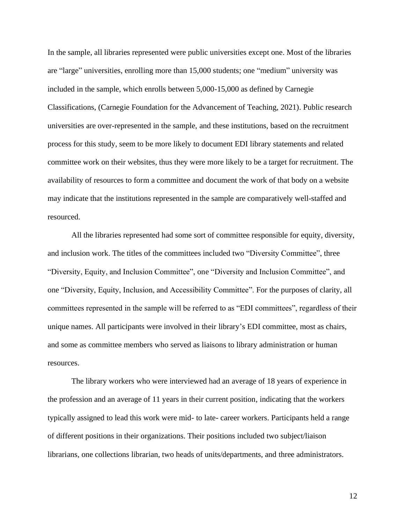In the sample, all libraries represented were public universities except one. Most of the libraries are "large" universities, enrolling more than 15,000 students; one "medium" university was included in the sample, which enrolls between 5,000-15,000 as defined by Carnegie Classifications, (Carnegie Foundation for the Advancement of Teaching, 2021). Public research universities are over-represented in the sample, and these institutions, based on the recruitment process for this study, seem to be more likely to document EDI library statements and related committee work on their websites, thus they were more likely to be a target for recruitment. The availability of resources to form a committee and document the work of that body on a website may indicate that the institutions represented in the sample are comparatively well-staffed and resourced.

All the libraries represented had some sort of committee responsible for equity, diversity, and inclusion work. The titles of the committees included two "Diversity Committee", three "Diversity, Equity, and Inclusion Committee", one "Diversity and Inclusion Committee", and one "Diversity, Equity, Inclusion, and Accessibility Committee". For the purposes of clarity, all committees represented in the sample will be referred to as "EDI committees", regardless of their unique names. All participants were involved in their library's EDI committee, most as chairs, and some as committee members who served as liaisons to library administration or human resources.

The library workers who were interviewed had an average of 18 years of experience in the profession and an average of 11 years in their current position, indicating that the workers typically assigned to lead this work were mid- to late- career workers. Participants held a range of different positions in their organizations. Their positions included two subject/liaison librarians, one collections librarian, two heads of units/departments, and three administrators.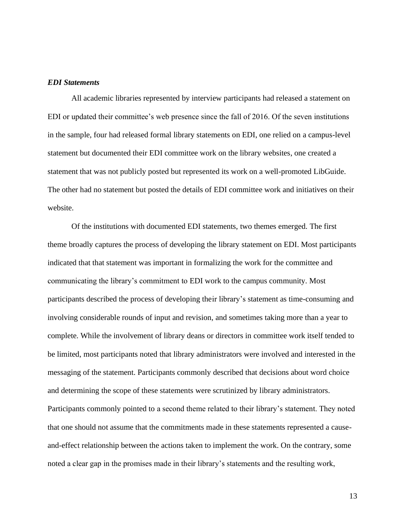#### *EDI Statements*

All academic libraries represented by interview participants had released a statement on EDI or updated their committee's web presence since the fall of 2016. Of the seven institutions in the sample, four had released formal library statements on EDI, one relied on a campus-level statement but documented their EDI committee work on the library websites, one created a statement that was not publicly posted but represented its work on a well-promoted LibGuide. The other had no statement but posted the details of EDI committee work and initiatives on their website.

Of the institutions with documented EDI statements, two themes emerged. The first theme broadly captures the process of developing the library statement on EDI. Most participants indicated that that statement was important in formalizing the work for the committee and communicating the library's commitment to EDI work to the campus community. Most participants described the process of developing their library's statement as time-consuming and involving considerable rounds of input and revision, and sometimes taking more than a year to complete. While the involvement of library deans or directors in committee work itself tended to be limited, most participants noted that library administrators were involved and interested in the messaging of the statement. Participants commonly described that decisions about word choice and determining the scope of these statements were scrutinized by library administrators. Participants commonly pointed to a second theme related to their library's statement. They noted that one should not assume that the commitments made in these statements represented a causeand-effect relationship between the actions taken to implement the work. On the contrary, some noted a clear gap in the promises made in their library's statements and the resulting work,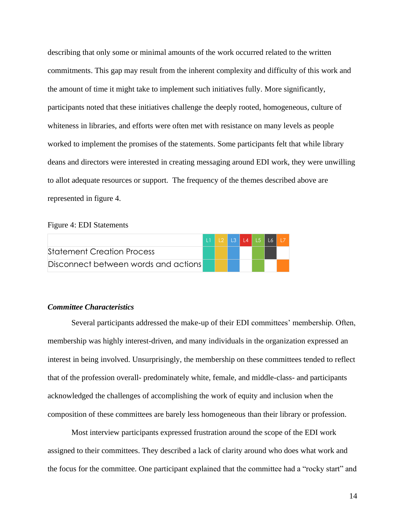describing that only some or minimal amounts of the work occurred related to the written commitments. This gap may result from the inherent complexity and difficulty of this work and the amount of time it might take to implement such initiatives fully. More significantly, participants noted that these initiatives challenge the deeply rooted, homogeneous, culture of whiteness in libraries, and efforts were often met with resistance on many levels as people worked to implement the promises of the statements. Some participants felt that while library deans and directors were interested in creating messaging around EDI work, they were unwilling to allot adequate resources or support. The frequency of the themes described above are represented in figure 4.

#### Figure 4: EDI Statements

|                                      |  |  | L1   L2   L3   L4   L5   L6   L7 |  |
|--------------------------------------|--|--|----------------------------------|--|
| <b>Statement Creation Process</b>    |  |  |                                  |  |
| Disconnect between words and actions |  |  |                                  |  |

## *Committee Characteristics*

Several participants addressed the make-up of their EDI committees' membership. Often, membership was highly interest-driven, and many individuals in the organization expressed an interest in being involved. Unsurprisingly, the membership on these committees tended to reflect that of the profession overall- predominately white, female, and middle-class- and participants acknowledged the challenges of accomplishing the work of equity and inclusion when the composition of these committees are barely less homogeneous than their library or profession.

Most interview participants expressed frustration around the scope of the EDI work assigned to their committees. They described a lack of clarity around who does what work and the focus for the committee. One participant explained that the committee had a "rocky start" and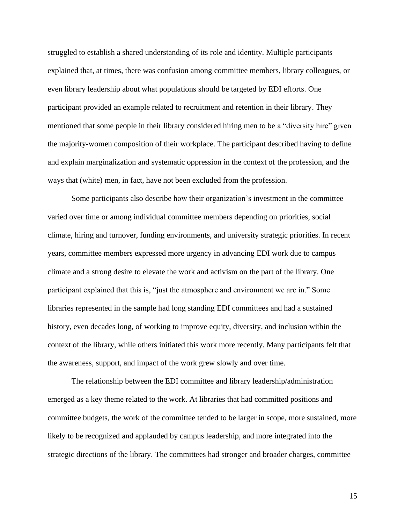struggled to establish a shared understanding of its role and identity. Multiple participants explained that, at times, there was confusion among committee members, library colleagues, or even library leadership about what populations should be targeted by EDI efforts. One participant provided an example related to recruitment and retention in their library. They mentioned that some people in their library considered hiring men to be a "diversity hire" given the majority-women composition of their workplace. The participant described having to define and explain marginalization and systematic oppression in the context of the profession, and the ways that (white) men, in fact, have not been excluded from the profession.

Some participants also describe how their organization's investment in the committee varied over time or among individual committee members depending on priorities, social climate, hiring and turnover, funding environments, and university strategic priorities. In recent years, committee members expressed more urgency in advancing EDI work due to campus climate and a strong desire to elevate the work and activism on the part of the library. One participant explained that this is, "just the atmosphere and environment we are in." Some libraries represented in the sample had long standing EDI committees and had a sustained history, even decades long, of working to improve equity, diversity, and inclusion within the context of the library, while others initiated this work more recently. Many participants felt that the awareness, support, and impact of the work grew slowly and over time.

The relationship between the EDI committee and library leadership/administration emerged as a key theme related to the work. At libraries that had committed positions and committee budgets, the work of the committee tended to be larger in scope, more sustained, more likely to be recognized and applauded by campus leadership, and more integrated into the strategic directions of the library. The committees had stronger and broader charges, committee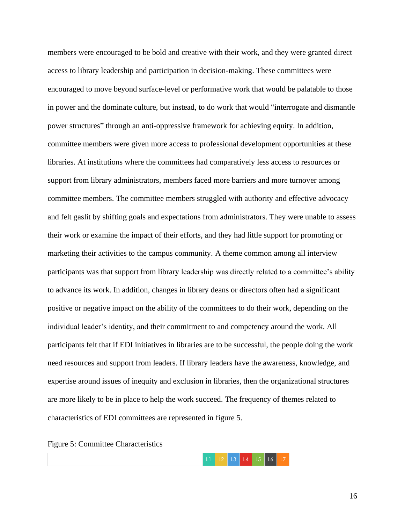members were encouraged to be bold and creative with their work, and they were granted direct access to library leadership and participation in decision-making. These committees were encouraged to move beyond surface-level or performative work that would be palatable to those in power and the dominate culture, but instead, to do work that would "interrogate and dismantle power structures" through an anti-oppressive framework for achieving equity. In addition, committee members were given more access to professional development opportunities at these libraries. At institutions where the committees had comparatively less access to resources or support from library administrators, members faced more barriers and more turnover among committee members. The committee members struggled with authority and effective advocacy and felt gaslit by shifting goals and expectations from administrators. They were unable to assess their work or examine the impact of their efforts, and they had little support for promoting or marketing their activities to the campus community. A theme common among all interview participants was that support from library leadership was directly related to a committee's ability to advance its work. In addition, changes in library deans or directors often had a significant positive or negative impact on the ability of the committees to do their work, depending on the individual leader's identity, and their commitment to and competency around the work. All participants felt that if EDI initiatives in libraries are to be successful, the people doing the work need resources and support from leaders. If library leaders have the awareness, knowledge, and expertise around issues of inequity and exclusion in libraries, then the organizational structures are more likely to be in place to help the work succeed. The frequency of themes related to characteristics of EDI committees are represented in figure 5.

Figure 5: Committee Characteristics

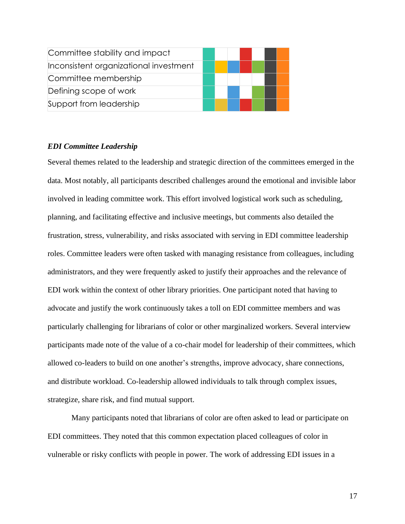| Committee stability and impact         |  |  |  |  |
|----------------------------------------|--|--|--|--|
| Inconsistent organizational investment |  |  |  |  |
| Committee membership                   |  |  |  |  |
| Defining scope of work                 |  |  |  |  |
| Support from leadership                |  |  |  |  |

### *EDI Committee Leadership*

Several themes related to the leadership and strategic direction of the committees emerged in the data. Most notably, all participants described challenges around the emotional and invisible labor involved in leading committee work. This effort involved logistical work such as scheduling, planning, and facilitating effective and inclusive meetings, but comments also detailed the frustration, stress, vulnerability, and risks associated with serving in EDI committee leadership roles. Committee leaders were often tasked with managing resistance from colleagues, including administrators, and they were frequently asked to justify their approaches and the relevance of EDI work within the context of other library priorities. One participant noted that having to advocate and justify the work continuously takes a toll on EDI committee members and was particularly challenging for librarians of color or other marginalized workers. Several interview participants made note of the value of a co-chair model for leadership of their committees, which allowed co-leaders to build on one another's strengths, improve advocacy, share connections, and distribute workload. Co-leadership allowed individuals to talk through complex issues, strategize, share risk, and find mutual support.

Many participants noted that librarians of color are often asked to lead or participate on EDI committees. They noted that this common expectation placed colleagues of color in vulnerable or risky conflicts with people in power. The work of addressing EDI issues in a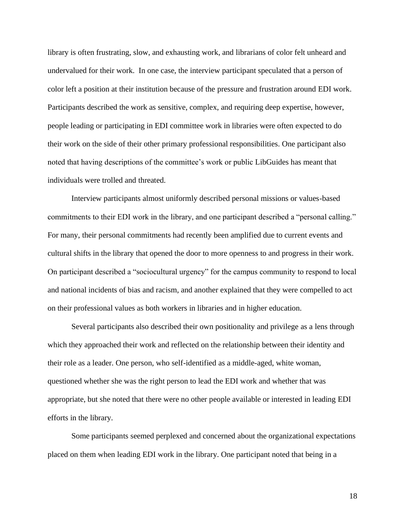library is often frustrating, slow, and exhausting work, and librarians of color felt unheard and undervalued for their work. In one case, the interview participant speculated that a person of color left a position at their institution because of the pressure and frustration around EDI work. Participants described the work as sensitive, complex, and requiring deep expertise, however, people leading or participating in EDI committee work in libraries were often expected to do their work on the side of their other primary professional responsibilities. One participant also noted that having descriptions of the committee's work or public LibGuides has meant that individuals were trolled and threated.

Interview participants almost uniformly described personal missions or values-based commitments to their EDI work in the library, and one participant described a "personal calling." For many, their personal commitments had recently been amplified due to current events and cultural shifts in the library that opened the door to more openness to and progress in their work. On participant described a "sociocultural urgency" for the campus community to respond to local and national incidents of bias and racism, and another explained that they were compelled to act on their professional values as both workers in libraries and in higher education.

Several participants also described their own positionality and privilege as a lens through which they approached their work and reflected on the relationship between their identity and their role as a leader. One person, who self-identified as a middle-aged, white woman, questioned whether she was the right person to lead the EDI work and whether that was appropriate, but she noted that there were no other people available or interested in leading EDI efforts in the library.

Some participants seemed perplexed and concerned about the organizational expectations placed on them when leading EDI work in the library. One participant noted that being in a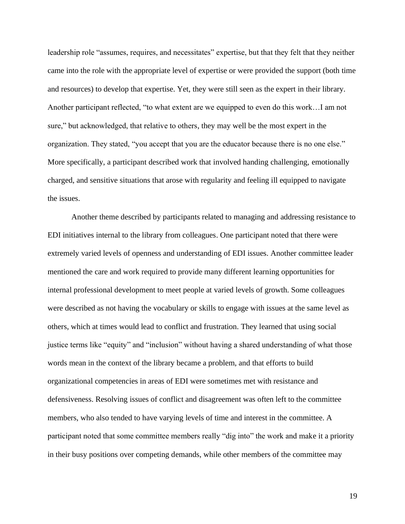leadership role "assumes, requires, and necessitates" expertise, but that they felt that they neither came into the role with the appropriate level of expertise or were provided the support (both time and resources) to develop that expertise. Yet, they were still seen as the expert in their library. Another participant reflected, "to what extent are we equipped to even do this work…I am not sure," but acknowledged, that relative to others, they may well be the most expert in the organization. They stated, "you accept that you are the educator because there is no one else." More specifically, a participant described work that involved handing challenging, emotionally charged, and sensitive situations that arose with regularity and feeling ill equipped to navigate the issues.

Another theme described by participants related to managing and addressing resistance to EDI initiatives internal to the library from colleagues. One participant noted that there were extremely varied levels of openness and understanding of EDI issues. Another committee leader mentioned the care and work required to provide many different learning opportunities for internal professional development to meet people at varied levels of growth. Some colleagues were described as not having the vocabulary or skills to engage with issues at the same level as others, which at times would lead to conflict and frustration. They learned that using social justice terms like "equity" and "inclusion" without having a shared understanding of what those words mean in the context of the library became a problem, and that efforts to build organizational competencies in areas of EDI were sometimes met with resistance and defensiveness. Resolving issues of conflict and disagreement was often left to the committee members, who also tended to have varying levels of time and interest in the committee. A participant noted that some committee members really "dig into" the work and make it a priority in their busy positions over competing demands, while other members of the committee may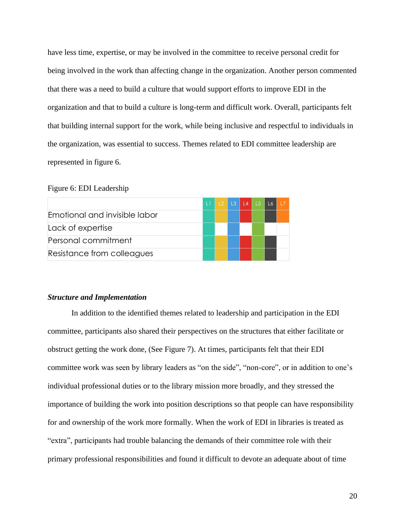have less time, expertise, or may be involved in the committee to receive personal credit for being involved in the work than affecting change in the organization. Another person commented that there was a need to build a culture that would support efforts to improve EDI in the organization and that to build a culture is long-term and difficult work. Overall, participants felt that building internal support for the work, while being inclusive and respectful to individuals in the organization, was essential to success. Themes related to EDI committee leadership are represented in figure 6.

#### Figure 6: EDI Leadership

|                               |  |  | $L2$ $L3$ $L4$ $L5$ $L6$ $L7$ |  |
|-------------------------------|--|--|-------------------------------|--|
| Emotional and invisible labor |  |  |                               |  |
| Lack of expertise             |  |  |                               |  |
| Personal commitment           |  |  |                               |  |
| Resistance from colleagues    |  |  |                               |  |

#### *Structure and Implementation*

In addition to the identified themes related to leadership and participation in the EDI committee, participants also shared their perspectives on the structures that either facilitate or obstruct getting the work done, (See Figure 7). At times, participants felt that their EDI committee work was seen by library leaders as "on the side", "non-core", or in addition to one's individual professional duties or to the library mission more broadly, and they stressed the importance of building the work into position descriptions so that people can have responsibility for and ownership of the work more formally. When the work of EDI in libraries is treated as "extra", participants had trouble balancing the demands of their committee role with their primary professional responsibilities and found it difficult to devote an adequate about of time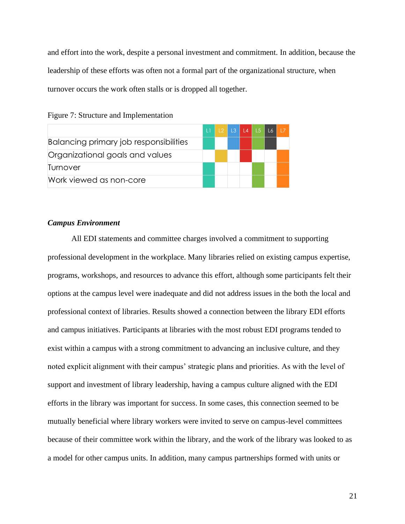and effort into the work, despite a personal investment and commitment. In addition, because the leadership of these efforts was often not a formal part of the organizational structure, when turnover occurs the work often stalls or is dropped all together.

|                                               | $\mathbf{1}$ |  |  | L2 L3 L4 L5 L6 L7 |  |
|-----------------------------------------------|--------------|--|--|-------------------|--|
| <b>Balancing primary job responsibilities</b> |              |  |  |                   |  |
| Organizational goals and values               |              |  |  |                   |  |
| <b>Ilurnover</b>                              |              |  |  |                   |  |
| Work viewed as non-core                       |              |  |  |                   |  |



#### *Campus Environment*

All EDI statements and committee charges involved a commitment to supporting professional development in the workplace. Many libraries relied on existing campus expertise, programs, workshops, and resources to advance this effort, although some participants felt their options at the campus level were inadequate and did not address issues in the both the local and professional context of libraries. Results showed a connection between the library EDI efforts and campus initiatives. Participants at libraries with the most robust EDI programs tended to exist within a campus with a strong commitment to advancing an inclusive culture, and they noted explicit alignment with their campus' strategic plans and priorities. As with the level of support and investment of library leadership, having a campus culture aligned with the EDI efforts in the library was important for success. In some cases, this connection seemed to be mutually beneficial where library workers were invited to serve on campus-level committees because of their committee work within the library, and the work of the library was looked to as a model for other campus units. In addition, many campus partnerships formed with units or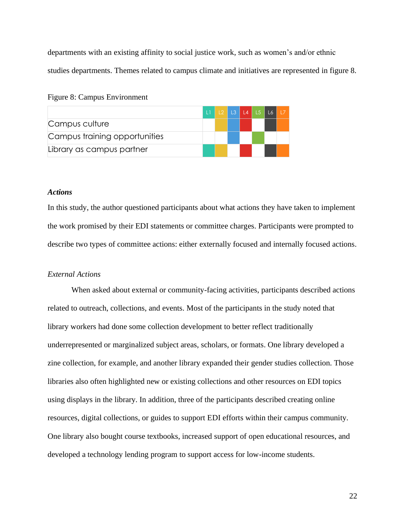departments with an existing affinity to social justice work, such as women's and/or ethnic studies departments. Themes related to campus climate and initiatives are represented in figure 8.

#### Figure 8: Campus Environment

|                               | $\Box$ |  |  | L2 L3 L4 L5 L6 L7 |  |
|-------------------------------|--------|--|--|-------------------|--|
| Campus culture                |        |  |  |                   |  |
| Campus training opportunities |        |  |  |                   |  |
| Library as campus partner     |        |  |  |                   |  |

## *Actions*

In this study, the author questioned participants about what actions they have taken to implement the work promised by their EDI statements or committee charges. Participants were prompted to describe two types of committee actions: either externally focused and internally focused actions.

## *External Actions*

When asked about external or community-facing activities, participants described actions related to outreach, collections, and events. Most of the participants in the study noted that library workers had done some collection development to better reflect traditionally underrepresented or marginalized subject areas, scholars, or formats. One library developed a zine collection, for example, and another library expanded their gender studies collection. Those libraries also often highlighted new or existing collections and other resources on EDI topics using displays in the library. In addition, three of the participants described creating online resources, digital collections, or guides to support EDI efforts within their campus community. One library also bought course textbooks, increased support of open educational resources, and developed a technology lending program to support access for low-income students.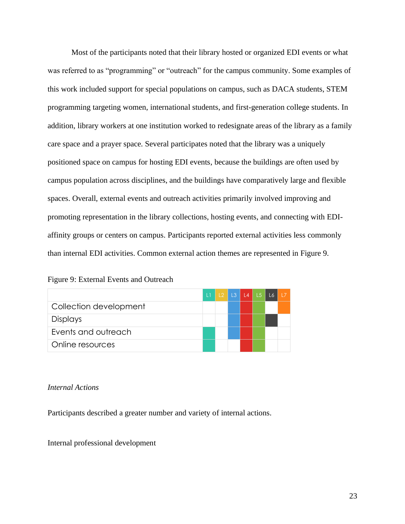Most of the participants noted that their library hosted or organized EDI events or what was referred to as "programming" or "outreach" for the campus community. Some examples of this work included support for special populations on campus, such as DACA students, STEM programming targeting women, international students, and first-generation college students. In addition, library workers at one institution worked to redesignate areas of the library as a family care space and a prayer space. Several participates noted that the library was a uniquely positioned space on campus for hosting EDI events, because the buildings are often used by campus population across disciplines, and the buildings have comparatively large and flexible spaces. Overall, external events and outreach activities primarily involved improving and promoting representation in the library collections, hosting events, and connecting with EDIaffinity groups or centers on campus. Participants reported external activities less commonly than internal EDI activities. Common external action themes are represented in Figure 9.

## Figure 9: External Events and Outreach

|                        | $\mathbf{1}$ | 12 <sup>2</sup> | L3   L4   L5 |  |  |
|------------------------|--------------|-----------------|--------------|--|--|
| Collection development |              |                 |              |  |  |
| <b>Displays</b>        |              |                 |              |  |  |
| Events and outreach    |              |                 |              |  |  |
| Online resources       |              |                 |              |  |  |

### *Internal Actions*

Participants described a greater number and variety of internal actions.

Internal professional development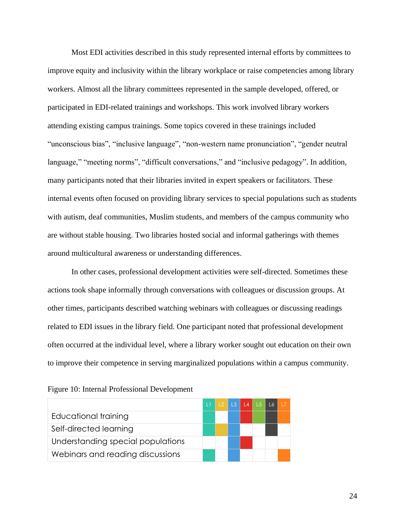Most EDI activities described in this study represented internal efforts by committees to improve equity and inclusivity within the library workplace or raise competencies among library workers. Almost all the library committees represented in the sample developed, offered, or participated in EDI-related trainings and workshops. This work involved library workers attending existing campus trainings. Some topics covered in these trainings included "unconscious bias", "inclusive language", "non-western name pronunciation", "gender neutral language," "meeting norms", "difficult conversations," and "inclusive pedagogy". In addition, many participants noted that their libraries invited in expert speakers or facilitators. These internal events often focused on providing library services to special populations such as students with autism, deaf communities, Muslim students, and members of the campus community who are without stable housing. Two libraries hosted social and informal gatherings with themes around multicultural awareness or understanding differences.

In other cases, professional development activities were self-directed. Sometimes these actions took shape informally through conversations with colleagues or discussion groups. At other times, participants described watching webinars with colleagues or discussing readings related to EDI issues in the library field. One participant noted that professional development often occurred at the individual level, where a library worker sought out education on their own to improve their competence in serving marginalized populations within a campus community.

|                                   |  | L2   L3   L4   L5   L6 |  |  |
|-----------------------------------|--|------------------------|--|--|
| Educational training              |  |                        |  |  |
| Self-directed learning            |  |                        |  |  |
| Understanding special populations |  |                        |  |  |
| Webinars and reading discussions  |  |                        |  |  |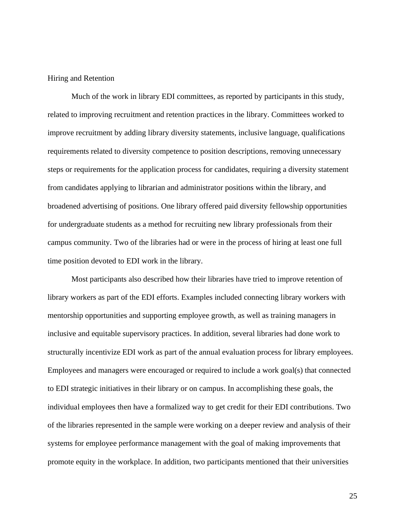#### Hiring and Retention

Much of the work in library EDI committees, as reported by participants in this study, related to improving recruitment and retention practices in the library. Committees worked to improve recruitment by adding library diversity statements, inclusive language, qualifications requirements related to diversity competence to position descriptions, removing unnecessary steps or requirements for the application process for candidates, requiring a diversity statement from candidates applying to librarian and administrator positions within the library, and broadened advertising of positions. One library offered paid diversity fellowship opportunities for undergraduate students as a method for recruiting new library professionals from their campus community. Two of the libraries had or were in the process of hiring at least one full time position devoted to EDI work in the library.

Most participants also described how their libraries have tried to improve retention of library workers as part of the EDI efforts. Examples included connecting library workers with mentorship opportunities and supporting employee growth, as well as training managers in inclusive and equitable supervisory practices. In addition, several libraries had done work to structurally incentivize EDI work as part of the annual evaluation process for library employees. Employees and managers were encouraged or required to include a work goal(s) that connected to EDI strategic initiatives in their library or on campus. In accomplishing these goals, the individual employees then have a formalized way to get credit for their EDI contributions. Two of the libraries represented in the sample were working on a deeper review and analysis of their systems for employee performance management with the goal of making improvements that promote equity in the workplace. In addition, two participants mentioned that their universities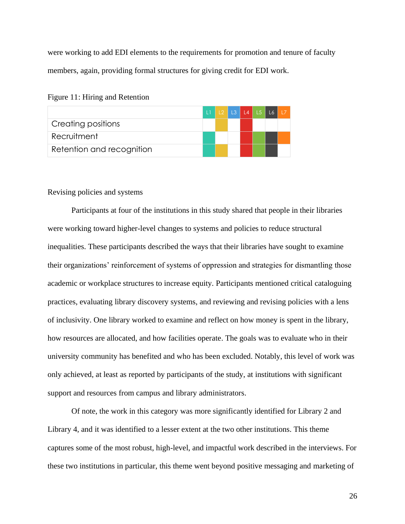were working to add EDI elements to the requirements for promotion and tenure of faculty members, again, providing formal structures for giving credit for EDI work.

|  |  |  |  | Figure 11: Hiring and Retention |
|--|--|--|--|---------------------------------|
|--|--|--|--|---------------------------------|

|                           |  | LI L2 L3 L4 L5 L6 L7 |  |  |
|---------------------------|--|----------------------|--|--|
| Creating positions        |  |                      |  |  |
| Recruitment               |  |                      |  |  |
| Retention and recognition |  |                      |  |  |

#### Revising policies and systems

Participants at four of the institutions in this study shared that people in their libraries were working toward higher-level changes to systems and policies to reduce structural inequalities. These participants described the ways that their libraries have sought to examine their organizations' reinforcement of systems of oppression and strategies for dismantling those academic or workplace structures to increase equity. Participants mentioned critical cataloguing practices, evaluating library discovery systems, and reviewing and revising policies with a lens of inclusivity. One library worked to examine and reflect on how money is spent in the library, how resources are allocated, and how facilities operate. The goals was to evaluate who in their university community has benefited and who has been excluded. Notably, this level of work was only achieved, at least as reported by participants of the study, at institutions with significant support and resources from campus and library administrators.

Of note, the work in this category was more significantly identified for Library 2 and Library 4, and it was identified to a lesser extent at the two other institutions. This theme captures some of the most robust, high-level, and impactful work described in the interviews. For these two institutions in particular, this theme went beyond positive messaging and marketing of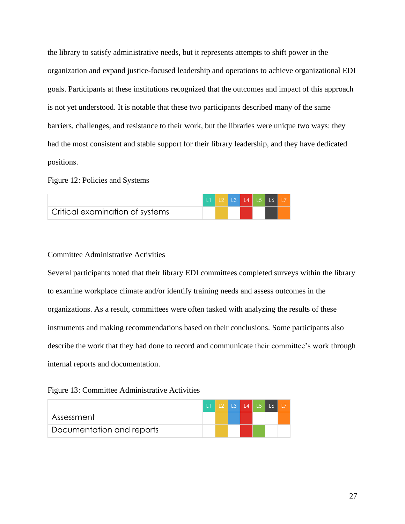the library to satisfy administrative needs, but it represents attempts to shift power in the organization and expand justice-focused leadership and operations to achieve organizational EDI goals. Participants at these institutions recognized that the outcomes and impact of this approach is not yet understood. It is notable that these two participants described many of the same barriers, challenges, and resistance to their work, but the libraries were unique two ways: they had the most consistent and stable support for their library leadership, and they have dedicated positions.

## Figure 12: Policies and Systems

|                                 |  | LI L2 L3 L4 L5 L6 L7 |  |  |
|---------------------------------|--|----------------------|--|--|
| Critical examination of systems |  |                      |  |  |

## Committee Administrative Activities

Several participants noted that their library EDI committees completed surveys within the library to examine workplace climate and/or identify training needs and assess outcomes in the organizations. As a result, committees were often tasked with analyzing the results of these instruments and making recommendations based on their conclusions. Some participants also describe the work that they had done to record and communicate their committee's work through internal reports and documentation.

Figure 13: Committee Administrative Activities

|                           | <b>TIL</b> |  | L2   L3   L4   L5   L6   L7 |  |  |
|---------------------------|------------|--|-----------------------------|--|--|
| Assessment                |            |  |                             |  |  |
| Documentation and reports |            |  |                             |  |  |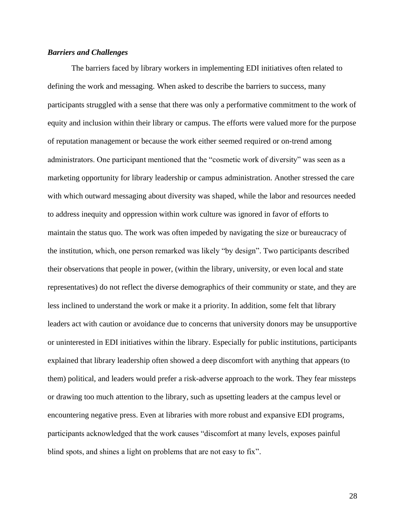## *Barriers and Challenges*

The barriers faced by library workers in implementing EDI initiatives often related to defining the work and messaging. When asked to describe the barriers to success, many participants struggled with a sense that there was only a performative commitment to the work of equity and inclusion within their library or campus. The efforts were valued more for the purpose of reputation management or because the work either seemed required or on-trend among administrators. One participant mentioned that the "cosmetic work of diversity" was seen as a marketing opportunity for library leadership or campus administration. Another stressed the care with which outward messaging about diversity was shaped, while the labor and resources needed to address inequity and oppression within work culture was ignored in favor of efforts to maintain the status quo. The work was often impeded by navigating the size or bureaucracy of the institution, which, one person remarked was likely "by design". Two participants described their observations that people in power, (within the library, university, or even local and state representatives) do not reflect the diverse demographics of their community or state, and they are less inclined to understand the work or make it a priority. In addition, some felt that library leaders act with caution or avoidance due to concerns that university donors may be unsupportive or uninterested in EDI initiatives within the library. Especially for public institutions, participants explained that library leadership often showed a deep discomfort with anything that appears (to them) political, and leaders would prefer a risk-adverse approach to the work. They fear missteps or drawing too much attention to the library, such as upsetting leaders at the campus level or encountering negative press. Even at libraries with more robust and expansive EDI programs, participants acknowledged that the work causes "discomfort at many levels, exposes painful blind spots, and shines a light on problems that are not easy to fix".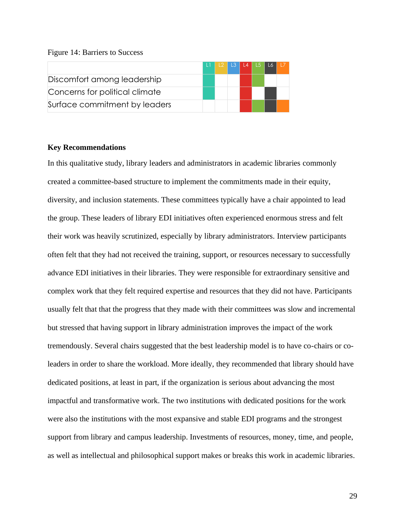#### Figure 14: Barriers to Success

|                                |  |  | L2   L3   L4   L5   L6   L7 |  |
|--------------------------------|--|--|-----------------------------|--|
| Discomfort among leadership    |  |  |                             |  |
| Concerns for political climate |  |  |                             |  |
| Surface commitment by leaders  |  |  |                             |  |

### **Key Recommendations**

In this qualitative study, library leaders and administrators in academic libraries commonly created a committee-based structure to implement the commitments made in their equity, diversity, and inclusion statements. These committees typically have a chair appointed to lead the group. These leaders of library EDI initiatives often experienced enormous stress and felt their work was heavily scrutinized, especially by library administrators. Interview participants often felt that they had not received the training, support, or resources necessary to successfully advance EDI initiatives in their libraries. They were responsible for extraordinary sensitive and complex work that they felt required expertise and resources that they did not have. Participants usually felt that that the progress that they made with their committees was slow and incremental but stressed that having support in library administration improves the impact of the work tremendously. Several chairs suggested that the best leadership model is to have co-chairs or coleaders in order to share the workload. More ideally, they recommended that library should have dedicated positions, at least in part, if the organization is serious about advancing the most impactful and transformative work. The two institutions with dedicated positions for the work were also the institutions with the most expansive and stable EDI programs and the strongest support from library and campus leadership. Investments of resources, money, time, and people, as well as intellectual and philosophical support makes or breaks this work in academic libraries.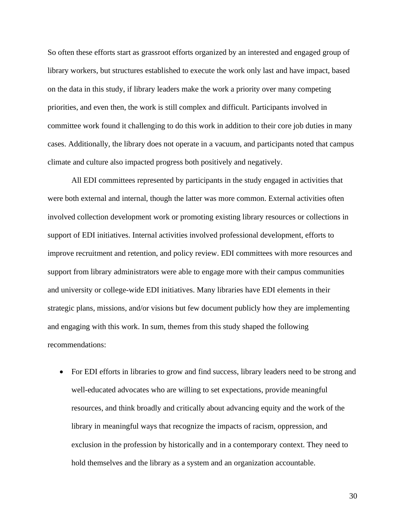So often these efforts start as grassroot efforts organized by an interested and engaged group of library workers, but structures established to execute the work only last and have impact, based on the data in this study, if library leaders make the work a priority over many competing priorities, and even then, the work is still complex and difficult. Participants involved in committee work found it challenging to do this work in addition to their core job duties in many cases. Additionally, the library does not operate in a vacuum, and participants noted that campus climate and culture also impacted progress both positively and negatively.

All EDI committees represented by participants in the study engaged in activities that were both external and internal, though the latter was more common. External activities often involved collection development work or promoting existing library resources or collections in support of EDI initiatives. Internal activities involved professional development, efforts to improve recruitment and retention, and policy review. EDI committees with more resources and support from library administrators were able to engage more with their campus communities and university or college-wide EDI initiatives. Many libraries have EDI elements in their strategic plans, missions, and/or visions but few document publicly how they are implementing and engaging with this work. In sum, themes from this study shaped the following recommendations:

• For EDI efforts in libraries to grow and find success, library leaders need to be strong and well-educated advocates who are willing to set expectations, provide meaningful resources, and think broadly and critically about advancing equity and the work of the library in meaningful ways that recognize the impacts of racism, oppression, and exclusion in the profession by historically and in a contemporary context. They need to hold themselves and the library as a system and an organization accountable.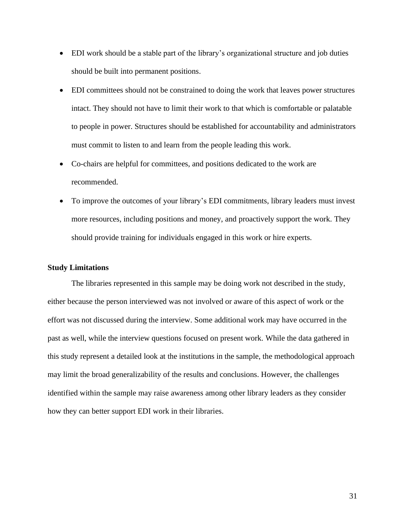- EDI work should be a stable part of the library's organizational structure and job duties should be built into permanent positions.
- EDI committees should not be constrained to doing the work that leaves power structures intact. They should not have to limit their work to that which is comfortable or palatable to people in power. Structures should be established for accountability and administrators must commit to listen to and learn from the people leading this work.
- Co-chairs are helpful for committees, and positions dedicated to the work are recommended.
- To improve the outcomes of your library's EDI commitments, library leaders must invest more resources, including positions and money, and proactively support the work. They should provide training for individuals engaged in this work or hire experts.

#### **Study Limitations**

The libraries represented in this sample may be doing work not described in the study, either because the person interviewed was not involved or aware of this aspect of work or the effort was not discussed during the interview. Some additional work may have occurred in the past as well, while the interview questions focused on present work. While the data gathered in this study represent a detailed look at the institutions in the sample, the methodological approach may limit the broad generalizability of the results and conclusions. However, the challenges identified within the sample may raise awareness among other library leaders as they consider how they can better support EDI work in their libraries.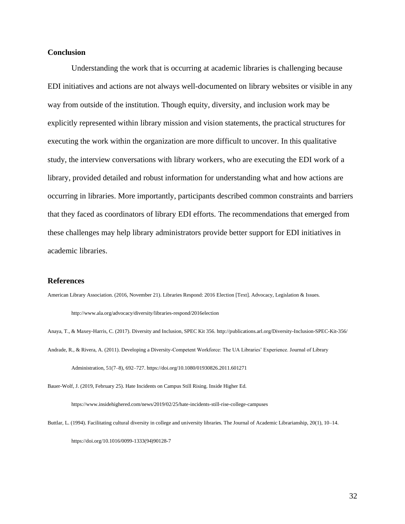## **Conclusion**

Understanding the work that is occurring at academic libraries is challenging because EDI initiatives and actions are not always well-documented on library websites or visible in any way from outside of the institution. Though equity, diversity, and inclusion work may be explicitly represented within library mission and vision statements, the practical structures for executing the work within the organization are more difficult to uncover. In this qualitative study, the interview conversations with library workers, who are executing the EDI work of a library, provided detailed and robust information for understanding what and how actions are occurring in libraries. More importantly, participants described common constraints and barriers that they faced as coordinators of library EDI efforts. The recommendations that emerged from these challenges may help library administrators provide better support for EDI initiatives in academic libraries.

#### **References**

American Library Association. (2016, November 21). Libraries Respond: 2016 Election [Text]. Advocacy, Legislation & Issues.

http://www.ala.org/advocacy/diversity/libraries-respond/2016election

Anaya, T., & Maxey-Harris, C. (2017). Diversity and Inclusion, SPEC Kit 356. http://publications.arl.org/Diversity-Inclusion-SPEC-Kit-356/ Andrade, R., & Rivera, A. (2011). Developing a Diversity-Competent Workforce: The UA Libraries' Experience. Journal of Library

Administration, 51(7–8), 692–727. https://doi.org/10.1080/01930826.2011.601271

Bauer-Wolf, J. (2019, February 25). Hate Incidents on Campus Still Rising. Inside Higher Ed.

https://www.insidehighered.com/news/2019/02/25/hate-incidents-still-rise-college-campuses

Buttlar, L. (1994). Facilitating cultural diversity in college and university libraries. The Journal of Academic Librarianship, 20(1), 10–14.

https://doi.org/10.1016/0099-1333(94)90128-7